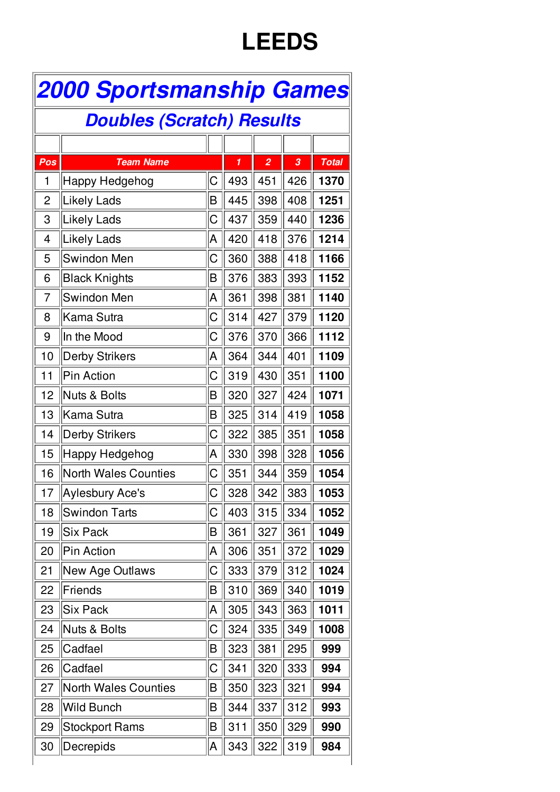## **LEEDS**

| <b>2000 Sportsmanship Games</b><br><b>Doubles (Scratch) Results</b> |                             |                |     |                |     |              |
|---------------------------------------------------------------------|-----------------------------|----------------|-----|----------------|-----|--------------|
|                                                                     |                             |                |     |                |     |              |
| Pos                                                                 | <b>Team Name</b>            |                | 1   | $\overline{2}$ | 3   | <b>Total</b> |
| 1                                                                   | Happy Hedgehog              | IС             | 493 | 451            | 426 | 1370         |
| $\overline{2}$                                                      | <b>Likely Lads</b>          | B              | 445 | 398            | 408 | 1251         |
| 3                                                                   | <b>Likely Lads</b>          | С              | 437 | 359            | 440 | 1236         |
| 4                                                                   | <b>Likely Lads</b>          | A              | 420 | 418            | 376 | 1214         |
| 5                                                                   | Swindon Men                 | C              | 360 | 388            | 418 | 1166         |
| 6                                                                   | <b>Black Knights</b>        | Β              | 376 | 383            | 393 | 1152         |
| 7                                                                   | Swindon Men                 | A              | 361 | 398            | 381 | 1140         |
| 8                                                                   | Kama Sutra                  | C              | 314 | 427            | 379 | 1120         |
| 9                                                                   | In the Mood                 | C              | 376 | 370            | 366 | 1112         |
| 10                                                                  | <b>Derby Strikers</b>       | A              | 364 | 344            | 401 | 1109         |
| 11                                                                  | Pin Action                  | C              | 319 | 430            | 351 | 1100         |
| 12                                                                  | <b>Nuts &amp; Bolts</b>     | B              | 320 | 327            | 424 | 1071         |
| 13                                                                  | Kama Sutra                  | B              | 325 | 314            | 419 | 1058         |
| 14                                                                  | <b>Derby Strikers</b>       | С              | 322 | 385            | 351 | 1058         |
| 15                                                                  | <b>Happy Hedgehog</b>       | A              | 330 | 398            | 328 | 1056         |
| 16                                                                  | <b>North Wales Counties</b> | IС             | 351 | 344            | 359 | 1054         |
| 17                                                                  | <b>Aylesbury Ace's</b>      | $ \mathsf{C} $ | 328 | 342            | 383 | 1053         |
| 18                                                                  | <b>Swindon Tarts</b>        | C              | 403 | 315            | 334 | 1052         |
| 19                                                                  | <b>Six Pack</b>             | Β              | 361 | 327            | 361 | 1049         |
| 20                                                                  | <b>Pin Action</b>           | A              | 306 | 351            | 372 | 1029         |
| 21                                                                  | New Age Outlaws             | С              | 333 | 379            | 312 | 1024         |
| 22                                                                  | Friends                     | Β              | 310 | 369            | 340 | 1019         |
| 23                                                                  | Six Pack                    | A              | 305 | 343            | 363 | 1011         |
| 24                                                                  | <b>Nuts &amp; Bolts</b>     | C              | 324 | 335            | 349 | 1008         |
| 25                                                                  | Cadfael                     | Β              | 323 | 381            | 295 | 999          |
| 26                                                                  | Cadfael                     | C              | 341 | 320            | 333 | 994          |
| 27                                                                  | <b>North Wales Counties</b> | Β              | 350 | 323            | 321 | 994          |
| 28                                                                  | <b>Wild Bunch</b>           | Β              | 344 | 337            | 312 | 993          |
| 29                                                                  | <b>Stockport Rams</b>       | Β              | 311 | 350            | 329 | 990          |
| 30                                                                  | Decrepids                   | A              | 343 | 322            | 319 | 984          |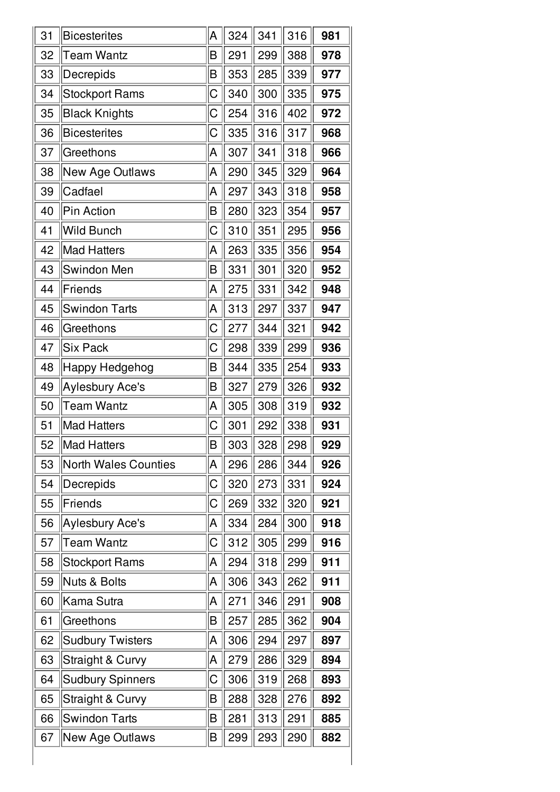| 31 | Bicesterites                | A | 324 | 341 | 316 | 981 |
|----|-----------------------------|---|-----|-----|-----|-----|
| 32 | <b>Team Wantz</b>           | Β | 291 | 299 | 388 | 978 |
| 33 | Decrepids                   | B | 353 | 285 | 339 | 977 |
| 34 | <b>Stockport Rams</b>       | С | 340 | 300 | 335 | 975 |
| 35 | <b>Black Knights</b>        | С | 254 | 316 | 402 | 972 |
| 36 | Bicesterites                | С | 335 | 316 | 317 | 968 |
| 37 | Greethons                   | A | 307 | 341 | 318 | 966 |
| 38 | New Age Outlaws             | A | 290 | 345 | 329 | 964 |
| 39 | Cadfael                     | A | 297 | 343 | 318 | 958 |
| 40 | Pin Action                  | B | 280 | 323 | 354 | 957 |
| 41 | Wild Bunch                  | C | 310 | 351 | 295 | 956 |
| 42 | <b>Mad Hatters</b>          | A | 263 | 335 | 356 | 954 |
| 43 | Swindon Men                 | Β | 331 | 301 | 320 | 952 |
| 44 | Friends                     | A | 275 | 331 | 342 | 948 |
| 45 | <b>Swindon Tarts</b>        | A | 313 | 297 | 337 | 947 |
| 46 | Greethons                   | С | 277 | 344 | 321 | 942 |
| 47 | Six Pack                    | С | 298 | 339 | 299 | 936 |
| 48 | Happy Hedgehog              | Β | 344 | 335 | 254 | 933 |
| 49 | Aylesbury Ace's             | Β | 327 | 279 | 326 | 932 |
| 50 | <b>Team Wantz</b>           | A | 305 | 308 | 319 | 932 |
| 51 | Mad Hatters                 | C | 301 | 292 | 338 | 931 |
| 52 | <b>Mad Hatters</b>          | B | 303 | 328 | 298 | 929 |
| 53 | <b>North Wales Counties</b> | A | 296 | 286 | 344 | 926 |
| 54 | Decrepids                   | C | 320 | 273 | 331 | 924 |
| 55 | Friends                     | C | 269 | 332 | 320 | 921 |
| 56 | Aylesbury Ace's             | A | 334 | 284 | 300 | 918 |
| 57 | Team Wantz                  | С | 312 | 305 | 299 | 916 |
| 58 | Stockport Rams              | A | 294 | 318 | 299 | 911 |
| 59 | Nuts & Bolts                | A | 306 | 343 | 262 | 911 |
| 60 | Kama Sutra                  | A | 271 | 346 | 291 | 908 |
| 61 | Greethons                   | B | 257 | 285 | 362 | 904 |
| 62 | <b>Sudbury Twisters</b>     | A | 306 | 294 | 297 | 897 |
| 63 | Straight & Curvy            | A | 279 | 286 | 329 | 894 |
| 64 | Sudbury Spinners            | С | 306 | 319 | 268 | 893 |
| 65 | Straight & Curvy            | Β | 288 | 328 | 276 | 892 |
| 66 | Swindon Tarts               | Β | 281 | 313 | 291 | 885 |
| 67 | New Age Outlaws             | B | 299 | 293 | 290 | 882 |